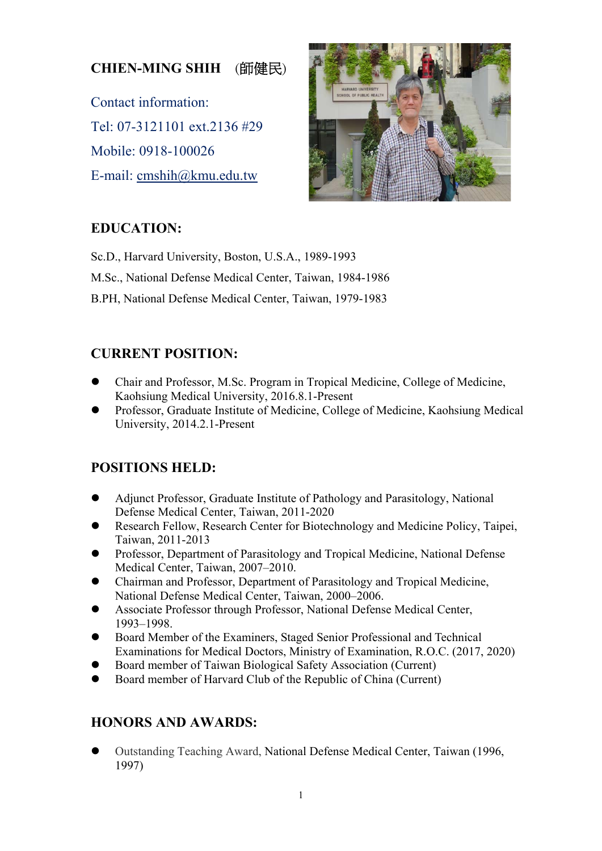# **CHIEN-MING SHIH** (師健民)

Contact information: Tel: 07-3121101 ext.2136 #29 Mobile: 0918-100026 E-mail: cmshih@kmu.edu.tw



## **EDUCATION:**

Sc.D., Harvard University, Boston, U.S.A., 1989-1993 M.Sc., National Defense Medical Center, Taiwan, 1984-1986 B.PH, National Defense Medical Center, Taiwan, 1979-1983

## **CURRENT POSITION:**

- Chair and Professor, M.Sc. Program in Tropical Medicine, College of Medicine, Kaohsiung Medical University, 2016.8.1-Present
- Professor, Graduate Institute of Medicine, College of Medicine, Kaohsiung Medical University, 2014.2.1-Present

## **POSITIONS HELD:**

- Adjunct Professor, Graduate Institute of Pathology and Parasitology, National Defense Medical Center, Taiwan, 2011-2020
- Research Fellow, Research Center for Biotechnology and Medicine Policy, Taipei, Taiwan, 2011-2013
- Professor, Department of Parasitology and Tropical Medicine, National Defense Medical Center, Taiwan, 2007–2010.
- Chairman and Professor, Department of Parasitology and Tropical Medicine, National Defense Medical Center, Taiwan, 2000–2006.
- Associate Professor through Professor, National Defense Medical Center, 1993–1998.
- Board Member of the Examiners, Staged Senior Professional and Technical Examinations for Medical Doctors, Ministry of Examination, R.O.C. (2017, 2020)
- Board member of Taiwan Biological Safety Association (Current)
- Board member of Harvard Club of the Republic of China (Current)

## **HONORS AND AWARDS:**

 Outstanding Teaching Award, National Defense Medical Center, Taiwan (1996, 1997)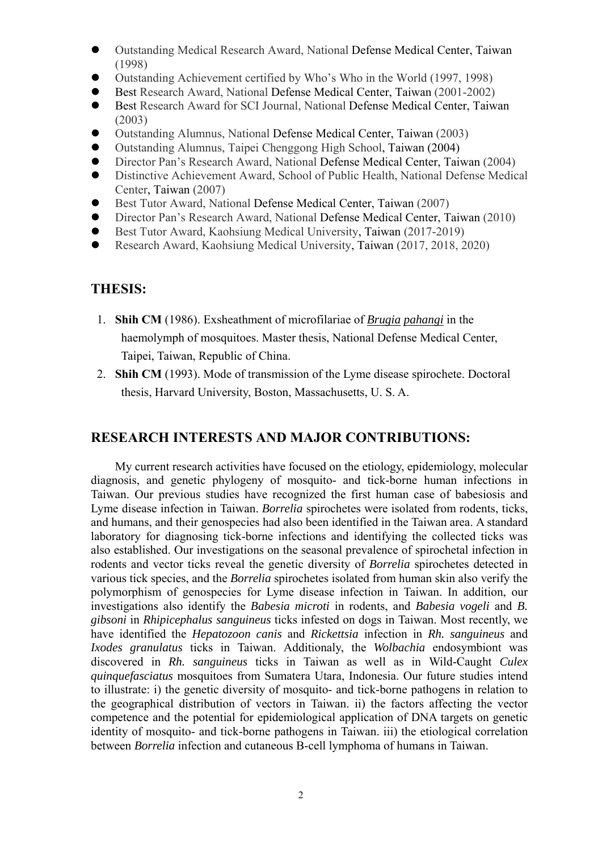- Outstanding Medical Research Award, National Defense Medical Center, Taiwan (1998)
- Outstanding Achievement certified by Who's Who in the World (1997, 1998)
- Best Research Award, National Defense Medical Center, Taiwan (2001-2002)
- Best Research Award for SCI Journal, National Defense Medical Center, Taiwan (2003)
- Outstanding Alumnus, National Defense Medical Center, Taiwan (2003)
- Outstanding Alumnus, Taipei Chenggong High School, Taiwan (2004)
- Director Pan's Research Award, National Defense Medical Center, Taiwan (2004)
- Distinctive Achievement Award, School of Public Health, National Defense Medical Center, Taiwan (2007)
- Best Tutor Award, National Defense Medical Center, Taiwan (2007)
- Director Pan's Research Award, National Defense Medical Center, Taiwan (2010)
- Best Tutor Award, Kaohsiung Medical University, Taiwan (2017-2019)
- Research Award, Kaohsiung Medical University, Taiwan (2017, 2018, 2020)

#### **THESIS:**

- 1. **Shih CM** (1986). Exsheathment of microfilariae of *Brugia pahangi* in the haemolymph of mosquitoes. Master thesis, National Defense Medical Center, Taipei, Taiwan, Republic of China.
- 2. **Shih CM** (1993). Mode of transmission of the Lyme disease spirochete. Doctoral thesis, Harvard University, Boston, Massachusetts, U. S. A.

#### **RESEARCH INTERESTS AND MAJOR CONTRIBUTIONS:**

My current research activities have focused on the etiology, epidemiology, molecular diagnosis, and genetic phylogeny of mosquito- and tick-borne human infections in Taiwan. Our previous studies have recognized the first human case of babesiosis and Lyme disease infection in Taiwan. *Borrelia* spirochetes were isolated from rodents, ticks, and humans, and their genospecies had also been identified in the Taiwan area. A standard laboratory for diagnosing tick-borne infections and identifying the collected ticks was also established. Our investigations on the seasonal prevalence of spirochetal infection in rodents and vector ticks reveal the genetic diversity of *Borrelia* spirochetes detected in various tick species, and the *Borrelia* spirochetes isolated from human skin also verify the polymorphism of genospecies for Lyme disease infection in Taiwan. In addition, our investigations also identify the *Babesia microti* in rodents, and *Babesia vogeli* and *B. gibsoni* in *Rhipicephalus sanguineus* ticks infested on dogs in Taiwan. Most recently, we have identified the *Hepatozoon canis* and *Rickettsia* infection in *Rh. sanguineus* and *Ixodes granulatus* ticks in Taiwan. Additionaly, the *Wolbachia* endosymbiont was discovered in *Rh. sanguineus* ticks in Taiwan as well as in Wild-Caught *Culex quinquefasciatus* mosquitoes from Sumatera Utara, Indonesia. Our future studies intend to illustrate: i) the genetic diversity of mosquito- and tick-borne pathogens in relation to the geographical distribution of vectors in Taiwan. ii) the factors affecting the vector competence and the potential for epidemiological application of DNA targets on genetic identity of mosquito- and tick-borne pathogens in Taiwan. iii) the etiological correlation between *Borrelia* infection and cutaneous B-cell lymphoma of humans in Taiwan.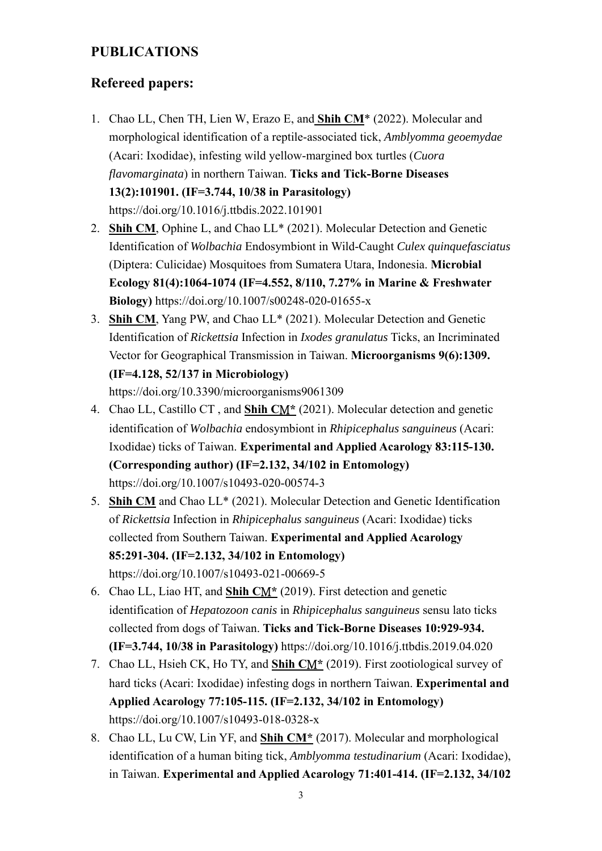### **PUBLICATIONS**

### **Refereed papers:**

- 1. Chao LL, Chen TH, Lien W, Erazo E, and **Shih CM**\* (2022). Molecular and morphological identification of a reptile-associated tick, *Amblyomma geoemydae* (Acari: Ixodidae), infesting wild yellow-margined box turtles (*Cuora flavomarginata*) in northern Taiwan. **Ticks and Tick-Borne Diseases 13(2):101901. (IF=3.744, 10/38 in Parasitology)**  https://doi.org/10.1016/j.ttbdis.2022.101901
- 2. **Shih CM**, Ophine L, and Chao LL\* (2021). Molecular Detection and Genetic Identification of *Wolbachia* Endosymbiont in Wild-Caught *Culex quinquefasciatus* (Diptera: Culicidae) Mosquitoes from Sumatera Utara, Indonesia. **Microbial Ecology 81(4):1064-1074 (IF=4.552, 8/110, 7.27% in Marine & Freshwater Biology)** https://doi.org/10.1007/s00248-020-01655-x
- 3. **Shih CM**, Yang PW, and Chao LL\* (2021). Molecular Detection and Genetic Identification of *Rickettsia* Infection in *Ixodes granulatus* Ticks, an Incriminated Vector for Geographical Transmission in Taiwan. **Microorganisms 9(6):1309. (IF=4.128, 52/137 in Microbiology)**

https://doi.org/10.3390/microorganisms9061309

- 4. Chao LL, Castillo CT , and **Shih C**M**\*** (2021). Molecular detection and genetic identification of *Wolbachia* endosymbiont in *Rhipicephalus sanguineus* (Acari: Ixodidae) ticks of Taiwan. **Experimental and Applied Acarology 83:115-130. (Corresponding author) (IF=2.132, 34/102 in Entomology)** https://doi.org/10.1007/s10493-020-00574-3
- 5. **Shih CM** and Chao LL\* (2021). Molecular Detection and Genetic Identification of *Rickettsia* Infection in *Rhipicephalus sanguineus* (Acari: Ixodidae) ticks collected from Southern Taiwan. **Experimental and Applied Acarology 85:291-304. (IF=2.132, 34/102 in Entomology)**  https://doi.org/10.1007/s10493-021-00669-5
- 6. Chao LL, Liao HT, and **Shih C**M**\*** (2019). First detection and genetic identification of *Hepatozoon canis* in *Rhipicephalus sanguineus* sensu lato ticks collected from dogs of Taiwan. **Ticks and Tick-Borne Diseases 10:929-934. (IF=3.744, 10/38 in Parasitology)** https://doi.org/10.1016/j.ttbdis.2019.04.020
- 7. Chao LL, Hsieh CK, Ho TY, and **Shih C**M**\*** (2019). First zootiological survey of hard ticks (Acari: Ixodidae) infesting dogs in northern Taiwan. **Experimental and Applied Acarology 77:105-115. (IF=2.132, 34/102 in Entomology)**  https://doi.org/10.1007/s10493-018-0328-x
- 8. Chao LL, Lu CW, Lin YF, and **Shih CM\*** (2017). Molecular and morphological identification of a human biting tick, *Amblyomma testudinarium* (Acari: Ixodidae), in Taiwan. **Experimental and Applied Acarology 71:401-414. (IF=2.132, 34/102**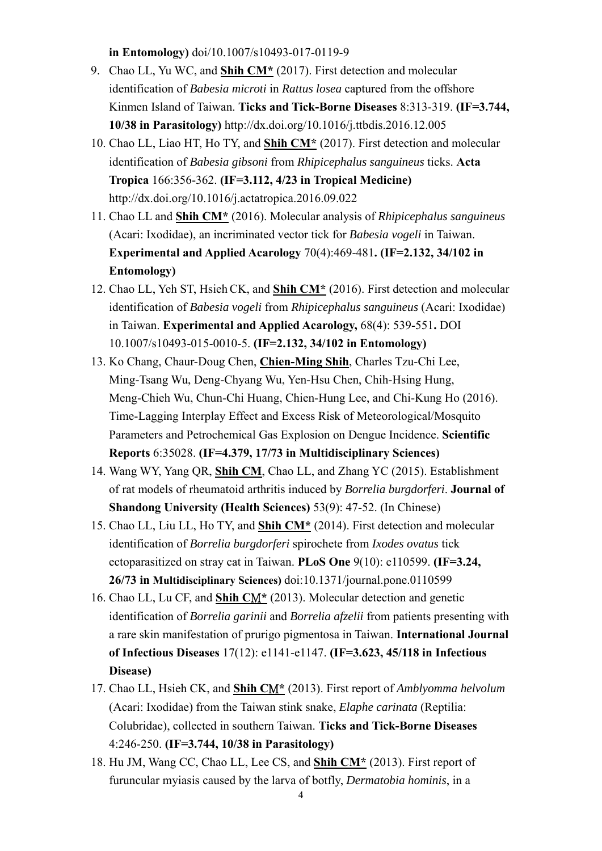**in Entomology)** doi/10.1007/s10493-017-0119-9

- 9. Chao LL, Yu WC, and **Shih CM\*** (2017). First detection and molecular identification of *Babesia microti* in *Rattus losea* captured from the offshore Kinmen Island of Taiwan. **Ticks and Tick-Borne Diseases** 8:313-319. **(IF=3.744, 10/38 in Parasitology)** http://dx.doi.org/10.1016/j.ttbdis.2016.12.005
- 10. Chao LL, Liao HT, Ho TY, and **Shih CM\*** (2017). First detection and molecular identification of *Babesia gibsoni* from *Rhipicephalus sanguineus* ticks. **Acta Tropica** 166:356-362. **(IF=3.112, 4/23 in Tropical Medicine)**  http://dx.doi.org/10.1016/j.actatropica.2016.09.022
- 11. Chao LL and **Shih CM\*** (2016). Molecular analysis of *Rhipicephalus sanguineus* (Acari: Ixodidae), an incriminated vector tick for *Babesia vogeli* in Taiwan. **Experimental and Applied Acarology** 70(4):469-481**. (IF=2.132, 34/102 in Entomology)**
- 12. Chao LL, Yeh ST, HsiehCK, and **Shih CM\*** (2016). First detection and molecular identification of *Babesia vogeli* from *Rhipicephalus sanguineus* (Acari: Ixodidae) in Taiwan. **Experimental and Applied Acarology,** 68(4): 539-551**.** DOI 10.1007/s10493-015-0010-5. **(IF=2.132, 34/102 in Entomology)**
- 13. Ko Chang, Chaur-Doug Chen, **Chien-Ming Shih**, Charles Tzu-Chi Lee, Ming-Tsang Wu, Deng-Chyang Wu, Yen-Hsu Chen, Chih-Hsing Hung, Meng-Chieh Wu, Chun-Chi Huang, Chien-Hung Lee, and Chi-Kung Ho (2016). Time-Lagging Interplay Effect and Excess Risk of Meteorological/Mosquito Parameters and Petrochemical Gas Explosion on Dengue Incidence. **Scientific Reports** 6:35028. **(IF=4.379, 17/73 in Multidisciplinary Sciences)**
- 14. Wang WY, Yang QR, **Shih CM**, Chao LL, and Zhang YC (2015). Establishment of rat models of rheumatoid arthritis induced by *Borrelia burgdorferi*. **Journal of Shandong University (Health Sciences)** 53(9): 47-52. (In Chinese)
- 15. Chao LL, Liu LL, Ho TY, and **Shih CM\*** (2014). First detection and molecular identification of *Borrelia burgdorferi* spirochete from *Ixodes ovatus* tick ectoparasitized on stray cat in Taiwan. **PLoS One** 9(10): e110599. **(IF=3.24, 26/73 in Multidisciplinary Sciences)** doi:10.1371/journal.pone.0110599
- 16. Chao LL, Lu CF, and **Shih C**M**\*** (2013). Molecular detection and genetic identification of *Borrelia garinii* and *Borrelia afzelii* from patients presenting with a rare skin manifestation of prurigo pigmentosa in Taiwan. **International Journal of Infectious Diseases** 17(12): e1141-e1147. **(IF=3.623, 45/118 in Infectious Disease)**
- 17. Chao LL, Hsieh CK, and **Shih C**M**\*** (2013). First report of *Amblyomma helvolum* (Acari: Ixodidae) from the Taiwan stink snake, *Elaphe carinata* (Reptilia: Colubridae), collected in southern Taiwan. **Ticks and Tick-Borne Diseases** 4:246-250. **(IF=3.744, 10/38 in Parasitology)**
- 18. Hu JM, Wang CC, Chao LL, Lee CS, and **Shih CM\*** (2013). First report of furuncular myiasis caused by the larva of botfly, *Dermatobia hominis*, in a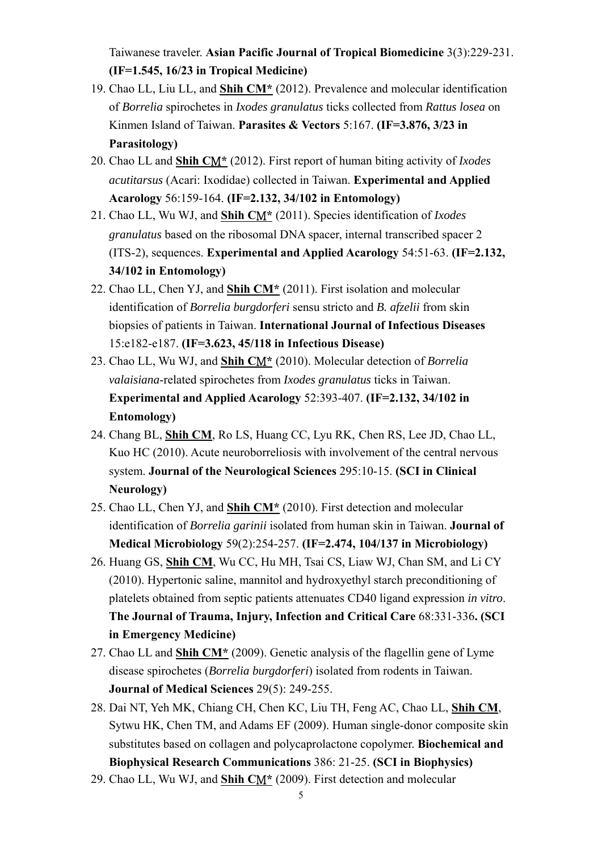Taiwanese traveler. **Asian Pacific Journal of Tropical Biomedicine** 3(3):229-231. **(IF=1.545, 16/23 in Tropical Medicine)**

- 19. Chao LL, Liu LL, and **Shih CM\*** (2012). Prevalence and molecular identification of *Borrelia* spirochetes in *Ixodes granulatus* ticks collected from *Rattus losea* on Kinmen Island of Taiwan. **Parasites & Vectors** 5:167. **(IF=3.876, 3/23 in Parasitology)**
- 20. Chao LL and **Shih C**M**\*** (2012). First report of human biting activity of *Ixodes acutitarsus* (Acari: Ixodidae) collected in Taiwan. **Experimental and Applied Acarology** 56:159-164. **(IF=2.132, 34/102 in Entomology)**
- 21. Chao LL, Wu WJ, and **Shih C**M**\*** (2011). Species identification of *Ixodes granulatus* based on the ribosomal DNA spacer, internal transcribed spacer 2 (ITS-2), sequences. **Experimental and Applied Acarology** 54:51-63. **(IF=2.132, 34/102 in Entomology)**
- 22. Chao LL, Chen YJ, and **Shih CM\*** (2011). First isolation and molecular identification of *Borrelia burgdorferi* sensu stricto and *B. afzelii* from skin biopsies of patients in Taiwan. **International Journal of Infectious Diseases** 15:e182-e187. **(IF=3.623, 45/118 in Infectious Disease)**
- 23. Chao LL, Wu WJ, and **Shih C**M**\*** (2010). Molecular detection of *Borrelia valaisiana*-related spirochetes from *Ixodes granulatus* ticks in Taiwan. **Experimental and Applied Acarology** 52:393-407. **(IF=2.132, 34/102 in Entomology)**
- 24. Chang BL, **Shih CM**, Ro LS, Huang CC, Lyu RK, Chen RS, Lee JD, Chao LL, Kuo HC (2010). Acute neuroborreliosis with involvement of the central nervous system. **Journal of the Neurological Sciences** 295:10-15. **(SCI in Clinical Neurology)**
- 25. Chao LL, Chen YJ, and **Shih CM\*** (2010). First detection and molecular identification of *Borrelia garinii* isolated from human skin in Taiwan. **Journal of Medical Microbiology** 59(2):254-257. **(IF=2.474, 104/137 in Microbiology)**
- 26. Huang GS, **Shih CM**, Wu CC, Hu MH, Tsai CS, Liaw WJ, Chan SM, and Li CY (2010). Hypertonic saline, mannitol and hydroxyethyl starch preconditioning of platelets obtained from septic patients attenuates CD40 ligand expression *in vitro*. **The Journal of Trauma, Injury, Infection and Critical Care** 68:331-336**. (SCI in Emergency Medicine)**
- 27. Chao LL and **Shih CM\*** (2009). Genetic analysis of the flagellin gene of Lyme disease spirochetes (*Borrelia burgdorferi*) isolated from rodents in Taiwan. **Journal of Medical Sciences** 29(5): 249-255.
- 28. Dai NT, Yeh MK, Chiang CH, Chen KC, Liu TH, Feng AC, Chao LL, **Shih CM**, Sytwu HK, Chen TM, and Adams EF (2009). Human single-donor composite skin substitutes based on collagen and polycaprolactone copolymer. **Biochemical and Biophysical Research Communications** 386: 21-25. **(SCI in Biophysics)**
- 29. Chao LL, Wu WJ, and **Shih C**M**\*** (2009). First detection and molecular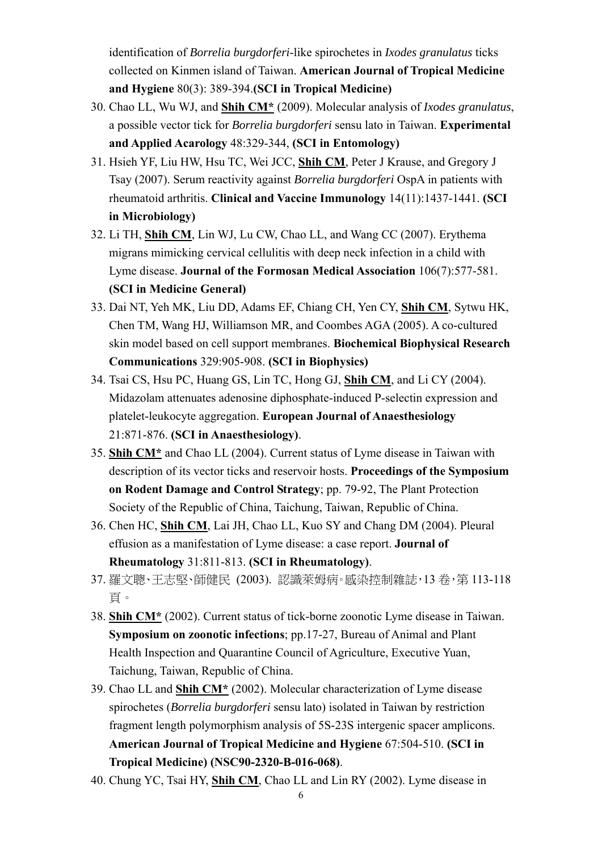identification of *Borrelia burgdorferi*-like spirochetes in *Ixodes granulatus* ticks collected on Kinmen island of Taiwan. **American Journal of Tropical Medicine and Hygiene** 80(3): 389-394.**(SCI in Tropical Medicine)**

- 30. Chao LL, Wu WJ, and **Shih CM\*** (2009). Molecular analysis of *Ixodes granulatus*, a possible vector tick for *Borrelia burgdorferi* sensu lato in Taiwan. **Experimental and Applied Acarology** 48:329-344, **(SCI in Entomology)**
- 31. Hsieh YF, Liu HW, Hsu TC, Wei JCC, **Shih CM**, Peter J Krause, and Gregory J Tsay (2007). Serum reactivity against *Borrelia burgdorferi* OspA in patients with rheumatoid arthritis. **Clinical and Vaccine Immunology** 14(11):1437-1441. **(SCI in Microbiology)**
- 32. Li TH, **Shih CM**, Lin WJ, Lu CW, Chao LL, and Wang CC (2007). Erythema migrans mimicking cervical cellulitis with deep neck infection in a child with Lyme disease. **Journal of the Formosan Medical Association** 106(7):577-581. **(SCI in Medicine General)**
- 33. Dai NT, Yeh MK, Liu DD, Adams EF, Chiang CH, Yen CY, **Shih CM**, Sytwu HK, Chen TM, Wang HJ, Williamson MR, and Coombes AGA (2005). A co-cultured skin model based on cell support membranes. **Biochemical Biophysical Research Communications** 329:905-908. **(SCI in Biophysics)**
- 34. Tsai CS, Hsu PC, Huang GS, Lin TC, Hong GJ, **Shih CM**, and Li CY (2004). Midazolam attenuates adenosine diphosphate-induced P-selectin expression and platelet-leukocyte aggregation. **European Journal of Anaesthesiology**  21:871-876. **(SCI in Anaesthesiology)**.
- 35. **Shih CM\*** and Chao LL (2004). Current status of Lyme disease in Taiwan with description of its vector ticks and reservoir hosts. **Proceedings of the Symposium on Rodent Damage and Control Strategy**; pp. 79-92, The Plant Protection Society of the Republic of China, Taichung, Taiwan, Republic of China.
- 36. Chen HC, **Shih CM**, Lai JH, Chao LL, Kuo SY and Chang DM (2004). Pleural effusion as a manifestation of Lyme disease: a case report. **Journal of Rheumatology** 31:811-813. **(SCI in Rheumatology)**.
- 37. 羅文聰、王志堅、師健民 (2003). 認識萊姆病。感染控制雜誌,13 卷,第 113-118 頁。
- 38. **Shih CM\*** (2002). Current status of tick-borne zoonotic Lyme disease in Taiwan. **Symposium on zoonotic infections**; pp.17-27, Bureau of Animal and Plant Health Inspection and Quarantine Council of Agriculture, Executive Yuan, Taichung, Taiwan, Republic of China.
- 39. Chao LL and **Shih CM\*** (2002). Molecular characterization of Lyme disease spirochetes (*Borrelia burgdorferi* sensu lato) isolated in Taiwan by restriction fragment length polymorphism analysis of 5S-23S intergenic spacer amplicons. **American Journal of Tropical Medicine and Hygiene** 67:504-510. **(SCI in Tropical Medicine) (NSC90-2320-B-016-068)**.
- 40. Chung YC, Tsai HY, **Shih CM**, Chao LL and Lin RY (2002). Lyme disease in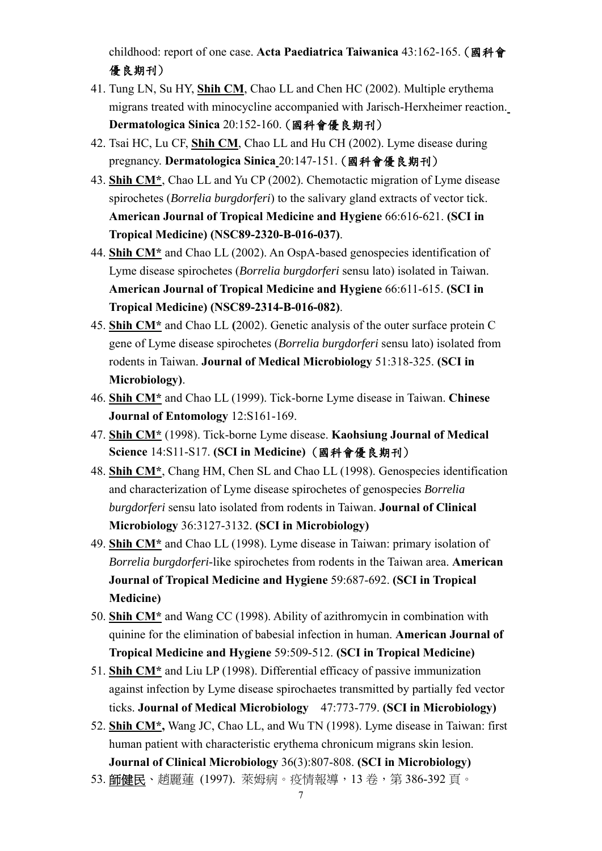childhood: report of one case. **Acta Paediatrica Taiwanica** 43:162-165. (國科會 優良期刊)

- 41. Tung LN, Su HY, **Shih CM**, Chao LL and Chen HC (2002). Multiple erythema migrans treated with minocycline accompanied with Jarisch-Herxheimer reaction. **Dermatologica Sinica** 20:152-160. (國科會優良期刊)
- 42. Tsai HC, Lu CF, **Shih CM**, Chao LL and Hu CH (2002). Lyme disease during pregnancy. **Dermatologica Sinica** 20:147-151. (國科會優良期刊)
- 43. **Shih CM\***, Chao LL and Yu CP (2002). Chemotactic migration of Lyme disease spirochetes (*Borrelia burgdorferi*) to the salivary gland extracts of vector tick. **American Journal of Tropical Medicine and Hygiene** 66:616-621. **(SCI in Tropical Medicine) (NSC89-2320-B-016-037)**.
- 44. **Shih CM\*** and Chao LL (2002). An OspA-based genospecies identification of Lyme disease spirochetes (*Borrelia burgdorferi* sensu lato) isolated in Taiwan. **American Journal of Tropical Medicine and Hygiene** 66:611-615. **(SCI in Tropical Medicine) (NSC89-2314-B-016-082)**.
- 45. **Shih CM\*** and Chao LL **(**2002). Genetic analysis of the outer surface protein C gene of Lyme disease spirochetes (*Borrelia burgdorferi* sensu lato) isolated from rodents in Taiwan. **Journal of Medical Microbiology** 51:318-325. **(SCI in Microbiology)**.
- 46. **Shih CM\*** and Chao LL (1999). Tick-borne Lyme disease in Taiwan. **Chinese Journal of Entomology** 12:S161-169.
- 47. **Shih CM\*** (1998). Tick-borne Lyme disease. **Kaohsiung Journal of Medical Science** 14:S11-S17. **(SCI in Medicine)** (國科會優良期刊)
- 48. **Shih CM\***, Chang HM, Chen SL and Chao LL (1998). Genospecies identification and characterization of Lyme disease spirochetes of genospecies *Borrelia burgdorferi* sensu lato isolated from rodents in Taiwan. **Journal of Clinical Microbiology** 36:3127-3132. **(SCI in Microbiology)**
- 49. **Shih CM\*** and Chao LL (1998). Lyme disease in Taiwan: primary isolation of *Borrelia burgdorferi*-like spirochetes from rodents in the Taiwan area. **American Journal of Tropical Medicine and Hygiene** 59:687-692. **(SCI in Tropical Medicine)**
- 50. **Shih CM\*** and Wang CC (1998). Ability of azithromycin in combination with quinine for the elimination of babesial infection in human. **American Journal of Tropical Medicine and Hygiene** 59:509-512. **(SCI in Tropical Medicine)**
- 51. **Shih CM\*** and Liu LP (1998). Differential efficacy of passive immunization against infection by Lyme disease spirochaetes transmitted by partially fed vector ticks. **Journal of Medical Microbiology** 47:773-779. **(SCI in Microbiology)**
- 52. **Shih CM\*,** Wang JC, Chao LL, and Wu TN (1998). Lyme disease in Taiwan: first human patient with characteristic erythema chronicum migrans skin lesion. **Journal of Clinical Microbiology** 36(3):807-808. **(SCI in Microbiology)**
- 53. 師健民、趙麗蓮 (1997). 萊姆病。疫情報導, 13卷, 第 386-392 頁。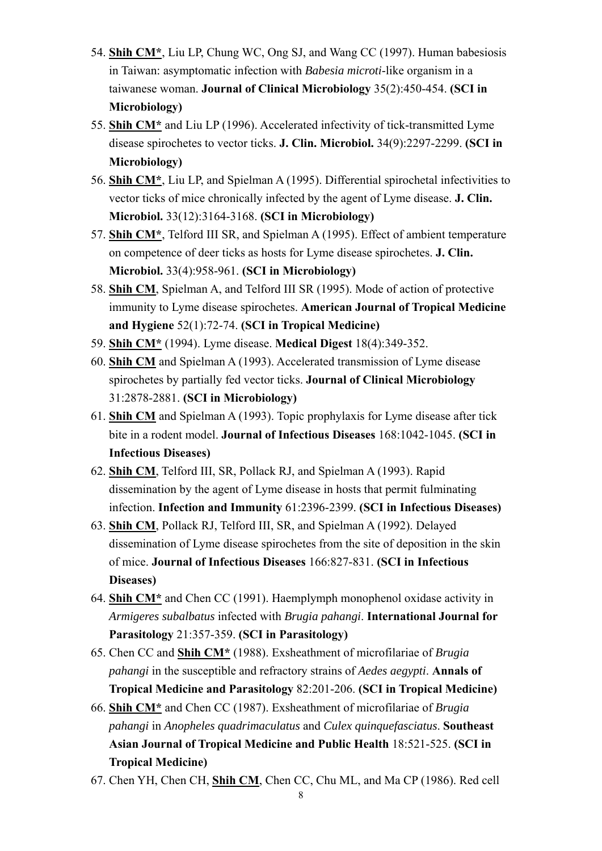- 54. **Shih CM\***, Liu LP, Chung WC, Ong SJ, and Wang CC (1997). Human babesiosis in Taiwan: asymptomatic infection with *Babesia microti*-like organism in a taiwanese woman. **Journal of Clinical Microbiology** 35(2):450-454. **(SCI in Microbiology)**
- 55. **Shih CM\*** and Liu LP (1996). Accelerated infectivity of tick-transmitted Lyme disease spirochetes to vector ticks. **J. Clin. Microbiol.** 34(9):2297-2299. **(SCI in Microbiology)**
- 56. **Shih CM\***, Liu LP, and Spielman A (1995). Differential spirochetal infectivities to vector ticks of mice chronically infected by the agent of Lyme disease. **J. Clin. Microbiol.** 33(12):3164-3168. **(SCI in Microbiology)**
- 57. **Shih CM\***, Telford III SR, and Spielman A (1995). Effect of ambient temperature on competence of deer ticks as hosts for Lyme disease spirochetes. **J. Clin. Microbiol.** 33(4):958-961. **(SCI in Microbiology)**
- 58. **Shih CM**, Spielman A, and Telford III SR (1995). Mode of action of protective immunity to Lyme disease spirochetes. **American Journal of Tropical Medicine and Hygiene** 52(1):72-74. **(SCI in Tropical Medicine)**
- 59. **Shih CM\*** (1994). Lyme disease. **Medical Digest** 18(4):349-352.
- 60. **Shih CM** and Spielman A (1993). Accelerated transmission of Lyme disease spirochetes by partially fed vector ticks. **Journal of Clinical Microbiology** 31:2878-2881. **(SCI in Microbiology)**
- 61. **Shih CM** and Spielman A (1993). Topic prophylaxis for Lyme disease after tick bite in a rodent model. **Journal of Infectious Diseases** 168:1042-1045. **(SCI in Infectious Diseases)**
- 62. **Shih CM**, Telford III, SR, Pollack RJ, and Spielman A (1993). Rapid dissemination by the agent of Lyme disease in hosts that permit fulminating infection. **Infection and Immunity** 61:2396-2399. **(SCI in Infectious Diseases)**
- 63. **Shih CM**, Pollack RJ, Telford III, SR, and Spielman A (1992). Delayed dissemination of Lyme disease spirochetes from the site of deposition in the skin of mice. **Journal of Infectious Diseases** 166:827-831. **(SCI in Infectious Diseases)**
- 64. **Shih CM\*** and Chen CC (1991). Haemplymph monophenol oxidase activity in *Armigeres subalbatus* infected with *Brugia pahangi*. **International Journal for Parasitology** 21:357-359. **(SCI in Parasitology)**
- 65. Chen CC and **Shih CM\*** (1988). Exsheathment of microfilariae of *Brugia pahangi* in the susceptible and refractory strains of *Aedes aegypti*. **Annals of Tropical Medicine and Parasitology** 82:201-206. **(SCI in Tropical Medicine)**
- 66. **Shih CM\*** and Chen CC (1987). Exsheathment of microfilariae of *Brugia pahangi* in *Anopheles quadrimaculatus* and *Culex quinquefasciatus*. **Southeast Asian Journal of Tropical Medicine and Public Health** 18:521-525. **(SCI in Tropical Medicine)**
- 67. Chen YH, Chen CH, **Shih CM**, Chen CC, Chu ML, and Ma CP (1986). Red cell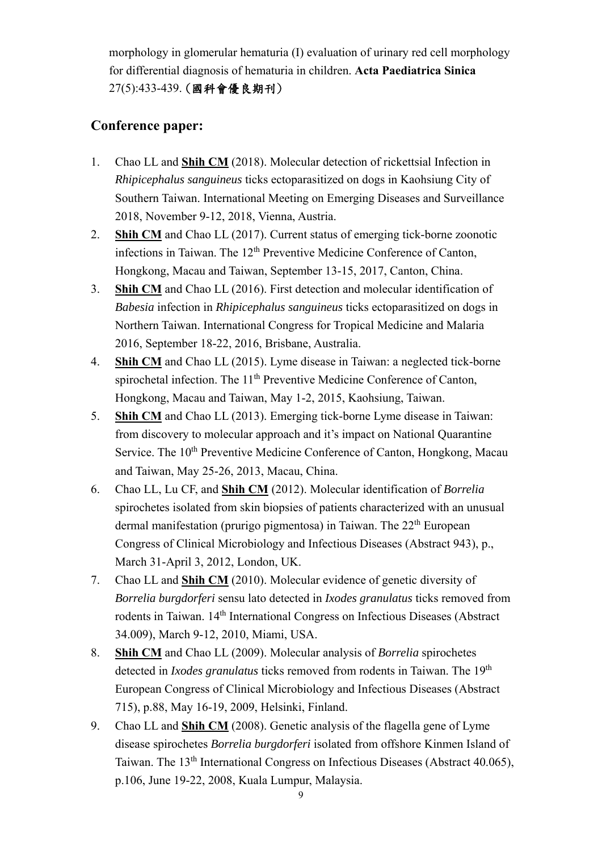morphology in glomerular hematuria (I) evaluation of urinary red cell morphology for differential diagnosis of hematuria in children. **Acta Paediatrica Sinica** 27(5):433-439. (國科會優良期刊)

### **Conference paper:**

- 1. Chao LL and **Shih CM** (2018). Molecular detection of rickettsial Infection in *Rhipicephalus sanguineus* ticks ectoparasitized on dogs in Kaohsiung City of Southern Taiwan. International Meeting on Emerging Diseases and Surveillance 2018, November 9-12, 2018, Vienna, Austria.
- 2. **Shih CM** and Chao LL (2017). Current status of emerging tick-borne zoonotic infections in Taiwan. The 12<sup>th</sup> Preventive Medicine Conference of Canton, Hongkong, Macau and Taiwan, September 13-15, 2017, Canton, China.
- 3. **Shih CM** and Chao LL (2016). First detection and molecular identification of *Babesia* infection in *Rhipicephalus sanguineus* ticks ectoparasitized on dogs in Northern Taiwan. International Congress for Tropical Medicine and Malaria 2016, September 18-22, 2016, Brisbane, Australia.
- 4. **Shih CM** and Chao LL (2015). Lyme disease in Taiwan: a neglected tick-borne spirochetal infection. The 11<sup>th</sup> Preventive Medicine Conference of Canton, Hongkong, Macau and Taiwan, May 1-2, 2015, Kaohsiung, Taiwan.
- 5. **Shih CM** and Chao LL (2013). Emerging tick-borne Lyme disease in Taiwan: from discovery to molecular approach and it's impact on National Quarantine Service. The 10<sup>th</sup> Preventive Medicine Conference of Canton, Hongkong, Macau and Taiwan, May 25-26, 2013, Macau, China.
- 6. Chao LL, Lu CF, and **Shih CM** (2012). Molecular identification of *Borrelia* spirochetes isolated from skin biopsies of patients characterized with an unusual dermal manifestation (prurigo pigmentosa) in Taiwan. The  $22<sup>th</sup>$  European Congress of Clinical Microbiology and Infectious Diseases (Abstract 943), p., March 31-April 3, 2012, London, UK.
- 7. Chao LL and **Shih CM** (2010). Molecular evidence of genetic diversity of *Borrelia burgdorferi* sensu lato detected in *Ixodes granulatus* ticks removed from rodents in Taiwan. 14<sup>th</sup> International Congress on Infectious Diseases (Abstract 34.009), March 9-12, 2010, Miami, USA.
- 8. **Shih CM** and Chao LL (2009). Molecular analysis of *Borrelia* spirochetes detected in *Ixodes granulatus* ticks removed from rodents in Taiwan. The 19<sup>th</sup> European Congress of Clinical Microbiology and Infectious Diseases (Abstract 715), p.88, May 16-19, 2009, Helsinki, Finland.
- 9. Chao LL and **Shih CM** (2008). Genetic analysis of the flagella gene of Lyme disease spirochetes *Borrelia burgdorferi* isolated from offshore Kinmen Island of Taiwan. The 13th International Congress on Infectious Diseases (Abstract 40.065), p.106, June 19-22, 2008, Kuala Lumpur, Malaysia.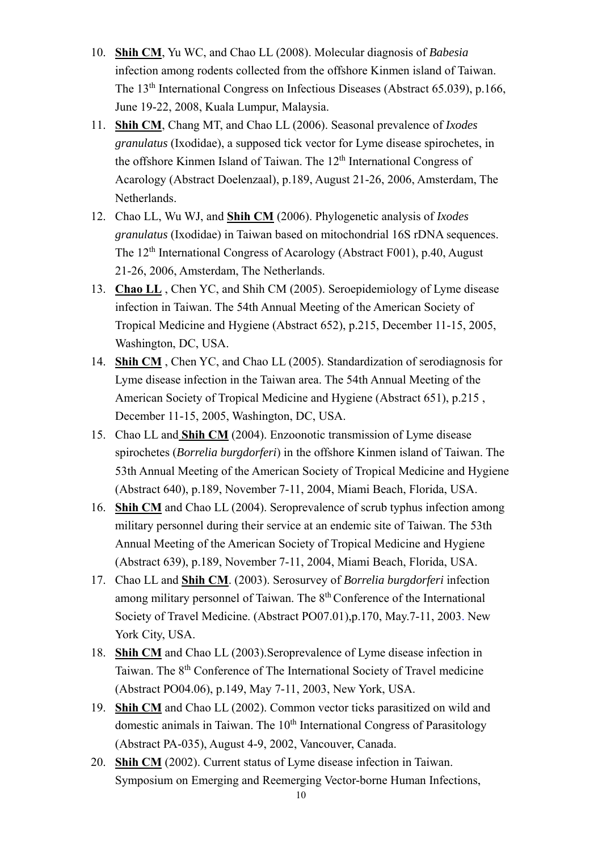- 10. **Shih CM**, Yu WC, and Chao LL (2008). Molecular diagnosis of *Babesia* infection among rodents collected from the offshore Kinmen island of Taiwan. The 13th International Congress on Infectious Diseases (Abstract 65.039), p.166, June 19-22, 2008, Kuala Lumpur, Malaysia.
- 11. **Shih CM**, Chang MT, and Chao LL (2006). Seasonal prevalence of *Ixodes granulatus* (Ixodidae), a supposed tick vector for Lyme disease spirochetes, in the offshore Kinmen Island of Taiwan. The 12<sup>th</sup> International Congress of Acarology (Abstract Doelenzaal), p.189, August 21-26, 2006, Amsterdam, The Netherlands.
- 12. Chao LL, Wu WJ, and **Shih CM** (2006). Phylogenetic analysis of *Ixodes granulatus* (Ixodidae) in Taiwan based on mitochondrial 16S rDNA sequences. The 12<sup>th</sup> International Congress of Acarology (Abstract F001), p.40, August 21-26, 2006, Amsterdam, The Netherlands.
- 13. **Chao LL** , Chen YC, and Shih CM (2005). Seroepidemiology of Lyme disease infection in Taiwan. The 54th Annual Meeting of the American Society of Tropical Medicine and Hygiene (Abstract 652), p.215, December 11-15, 2005, Washington, DC, USA.
- 14. **Shih CM** , Chen YC, and Chao LL (2005). Standardization of serodiagnosis for Lyme disease infection in the Taiwan area. The 54th Annual Meeting of the American Society of Tropical Medicine and Hygiene (Abstract 651), p.215 , December 11-15, 2005, Washington, DC, USA.
- 15. Chao LL and **Shih CM** (2004). Enzoonotic transmission of Lyme disease spirochetes (*Borrelia burgdorferi*) in the offshore Kinmen island of Taiwan. The 53th Annual Meeting of the American Society of Tropical Medicine and Hygiene (Abstract 640), p.189, November 7-11, 2004, Miami Beach, Florida, USA.
- 16. **Shih CM** and Chao LL (2004). Seroprevalence of scrub typhus infection among military personnel during their service at an endemic site of Taiwan. The 53th Annual Meeting of the American Society of Tropical Medicine and Hygiene (Abstract 639), p.189, November 7-11, 2004, Miami Beach, Florida, USA.
- 17. Chao LL and **Shih CM**. (2003). Serosurvey of *Borrelia burgdorferi* infection among military personnel of Taiwan. The 8<sup>th</sup> Conference of the International Society of Travel Medicine. (Abstract PO07.01),p.170, May.7-11, 2003. New York City, USA.
- 18. **Shih CM** and Chao LL (2003).Seroprevalence of Lyme disease infection in Taiwan. The 8th Conference of The International Society of Travel medicine (Abstract PO04.06), p.149, May 7-11, 2003, New York, USA.
- 19. **Shih CM** and Chao LL (2002). Common vector ticks parasitized on wild and domestic animals in Taiwan. The  $10<sup>th</sup>$  International Congress of Parasitology (Abstract PA-035), August 4-9, 2002, Vancouver, Canada.
- 20. **Shih CM** (2002). Current status of Lyme disease infection in Taiwan. Symposium on Emerging and Reemerging Vector-borne Human Infections,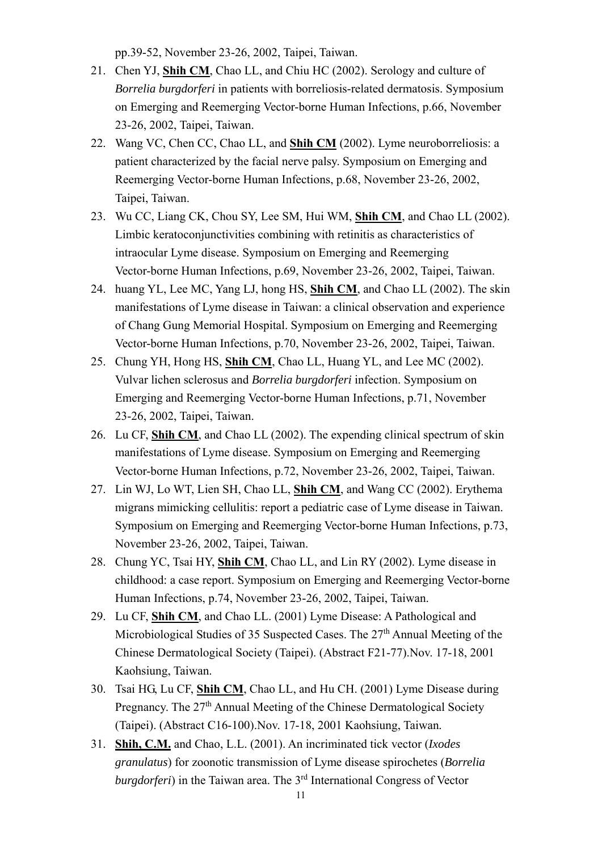pp.39-52, November 23-26, 2002, Taipei, Taiwan.

- 21. Chen YJ, **Shih CM**, Chao LL, and Chiu HC (2002). Serology and culture of *Borrelia burgdorferi* in patients with borreliosis-related dermatosis. Symposium on Emerging and Reemerging Vector-borne Human Infections, p.66, November 23-26, 2002, Taipei, Taiwan.
- 22. Wang VC, Chen CC, Chao LL, and **Shih CM** (2002). Lyme neuroborreliosis: a patient characterized by the facial nerve palsy. Symposium on Emerging and Reemerging Vector-borne Human Infections, p.68, November 23-26, 2002, Taipei, Taiwan.
- 23. Wu CC, Liang CK, Chou SY, Lee SM, Hui WM, **Shih CM**, and Chao LL (2002). Limbic keratoconjunctivities combining with retinitis as characteristics of intraocular Lyme disease. Symposium on Emerging and Reemerging Vector-borne Human Infections, p.69, November 23-26, 2002, Taipei, Taiwan.
- 24. huang YL, Lee MC, Yang LJ, hong HS, **Shih CM**, and Chao LL (2002). The skin manifestations of Lyme disease in Taiwan: a clinical observation and experience of Chang Gung Memorial Hospital. Symposium on Emerging and Reemerging Vector-borne Human Infections, p.70, November 23-26, 2002, Taipei, Taiwan.
- 25. Chung YH, Hong HS, **Shih CM**, Chao LL, Huang YL, and Lee MC (2002). Vulvar lichen sclerosus and *Borrelia burgdorferi* infection. Symposium on Emerging and Reemerging Vector-borne Human Infections, p.71, November 23-26, 2002, Taipei, Taiwan.
- 26. Lu CF, **Shih CM**, and Chao LL (2002). The expending clinical spectrum of skin manifestations of Lyme disease. Symposium on Emerging and Reemerging Vector-borne Human Infections, p.72, November 23-26, 2002, Taipei, Taiwan.
- 27. Lin WJ, Lo WT, Lien SH, Chao LL, **Shih CM**, and Wang CC (2002). Erythema migrans mimicking cellulitis: report a pediatric case of Lyme disease in Taiwan. Symposium on Emerging and Reemerging Vector-borne Human Infections, p.73, November 23-26, 2002, Taipei, Taiwan.
- 28. Chung YC, Tsai HY, **Shih CM**, Chao LL, and Lin RY (2002). Lyme disease in childhood: a case report. Symposium on Emerging and Reemerging Vector-borne Human Infections, p.74, November 23-26, 2002, Taipei, Taiwan.
- 29. Lu CF, **Shih CM**, and Chao LL. (2001) Lyme Disease: A Pathological and Microbiological Studies of 35 Suspected Cases. The 27<sup>th</sup> Annual Meeting of the Chinese Dermatological Society (Taipei). (Abstract F21-77).Nov. 17-18, 2001 Kaohsiung, Taiwan.
- 30. Tsai HG, Lu CF, **Shih CM**, Chao LL, and Hu CH. (2001) Lyme Disease during Pregnancy. The 27<sup>th</sup> Annual Meeting of the Chinese Dermatological Society (Taipei). (Abstract C16-100).Nov. 17-18, 2001 Kaohsiung, Taiwan.
- 31. **Shih, C.M.** and Chao, L.L. (2001). An incriminated tick vector (*Ixodes granulatus*) for zoonotic transmission of Lyme disease spirochetes (*Borrelia burgdorferi*) in the Taiwan area. The 3<sup>rd</sup> International Congress of Vector